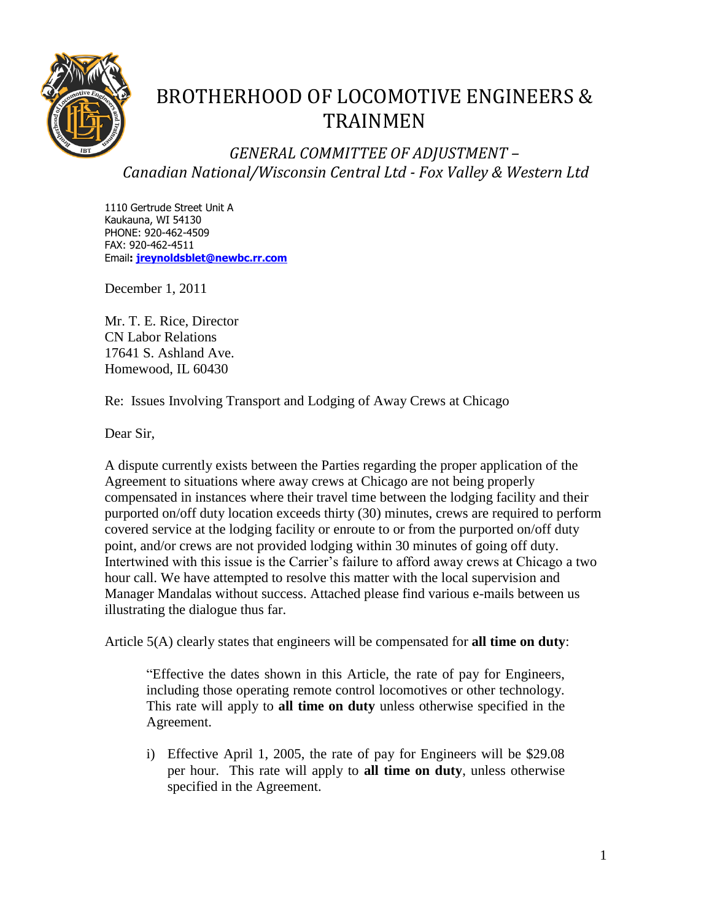

## BROTHERHOOD OF LOCOMOTIVE ENGINEERS & TRAINMEN

*GENERAL COMMITTEE OF ADJUSTMENT – Canadian National/Wisconsin Central Ltd - Fox Valley & Western Ltd*

1110 Gertrude Street Unit A Kaukauna, WI 54130 PHONE: 920-462-4509 FAX: 920-462-4511 Email**: [jreynoldsblet@newbc.rr.com](mailto:jreynoldblet@newbc.rr.com)**

December 1, 2011

Mr. T. E. Rice, Director CN Labor Relations 17641 S. Ashland Ave. Homewood, IL 60430

Re: Issues Involving Transport and Lodging of Away Crews at Chicago

Dear Sir,

A dispute currently exists between the Parties regarding the proper application of the Agreement to situations where away crews at Chicago are not being properly compensated in instances where their travel time between the lodging facility and their purported on/off duty location exceeds thirty (30) minutes, crews are required to perform covered service at the lodging facility or enroute to or from the purported on/off duty point, and/or crews are not provided lodging within 30 minutes of going off duty. Intertwined with this issue is the Carrier's failure to afford away crews at Chicago a two hour call. We have attempted to resolve this matter with the local supervision and Manager Mandalas without success. Attached please find various e-mails between us illustrating the dialogue thus far.

Article 5(A) clearly states that engineers will be compensated for **all time on duty**:

"Effective the dates shown in this Article, the rate of pay for Engineers, including those operating remote control locomotives or other technology. This rate will apply to **all time on duty** unless otherwise specified in the Agreement.

i) Effective April 1, 2005, the rate of pay for Engineers will be \$29.08 per hour. This rate will apply to **all time on duty**, unless otherwise specified in the Agreement.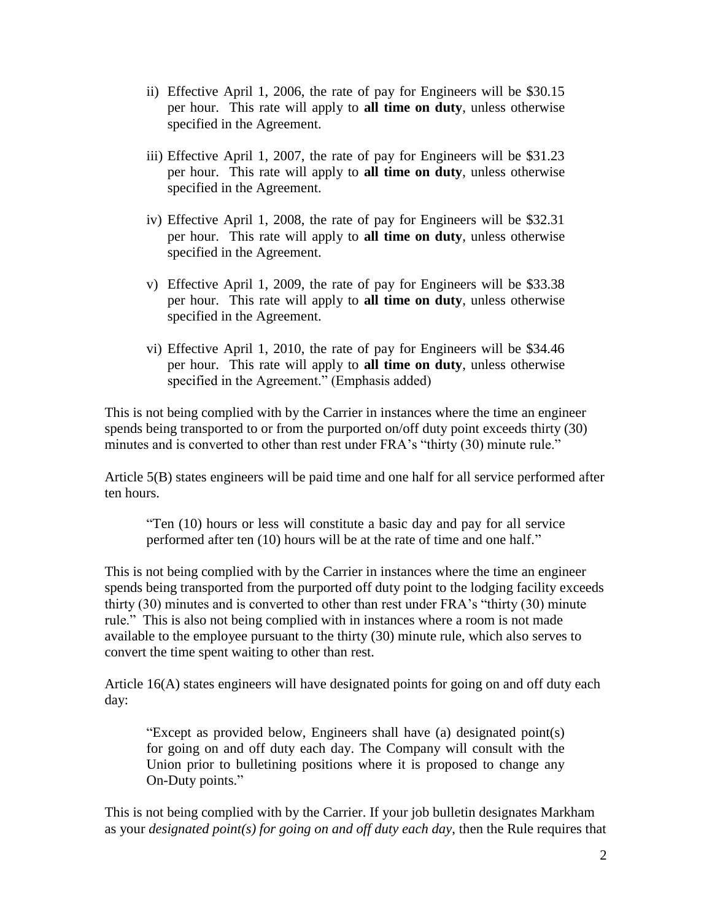- ii) Effective April 1, 2006, the rate of pay for Engineers will be \$30.15 per hour. This rate will apply to **all time on duty**, unless otherwise specified in the Agreement.
- iii) Effective April 1, 2007, the rate of pay for Engineers will be \$31.23 per hour. This rate will apply to **all time on duty**, unless otherwise specified in the Agreement.
- iv) Effective April 1, 2008, the rate of pay for Engineers will be \$32.31 per hour. This rate will apply to **all time on duty**, unless otherwise specified in the Agreement.
- v) Effective April 1, 2009, the rate of pay for Engineers will be \$33.38 per hour. This rate will apply to **all time on duty**, unless otherwise specified in the Agreement.
- vi) Effective April 1, 2010, the rate of pay for Engineers will be \$34.46 per hour. This rate will apply to **all time on duty**, unless otherwise specified in the Agreement." (Emphasis added)

This is not being complied with by the Carrier in instances where the time an engineer spends being transported to or from the purported on/off duty point exceeds thirty (30) minutes and is converted to other than rest under FRA's "thirty (30) minute rule."

Article 5(B) states engineers will be paid time and one half for all service performed after ten hours.

"Ten (10) hours or less will constitute a basic day and pay for all service performed after ten (10) hours will be at the rate of time and one half."

This is not being complied with by the Carrier in instances where the time an engineer spends being transported from the purported off duty point to the lodging facility exceeds thirty (30) minutes and is converted to other than rest under FRA's "thirty (30) minute rule." This is also not being complied with in instances where a room is not made available to the employee pursuant to the thirty (30) minute rule, which also serves to convert the time spent waiting to other than rest.

Article 16(A) states engineers will have designated points for going on and off duty each day:

"Except as provided below, Engineers shall have (a) designated point(s) for going on and off duty each day. The Company will consult with the Union prior to bulletining positions where it is proposed to change any On-Duty points."

This is not being complied with by the Carrier. If your job bulletin designates Markham as your *designated point(s) for going on and off duty each day*, then the Rule requires that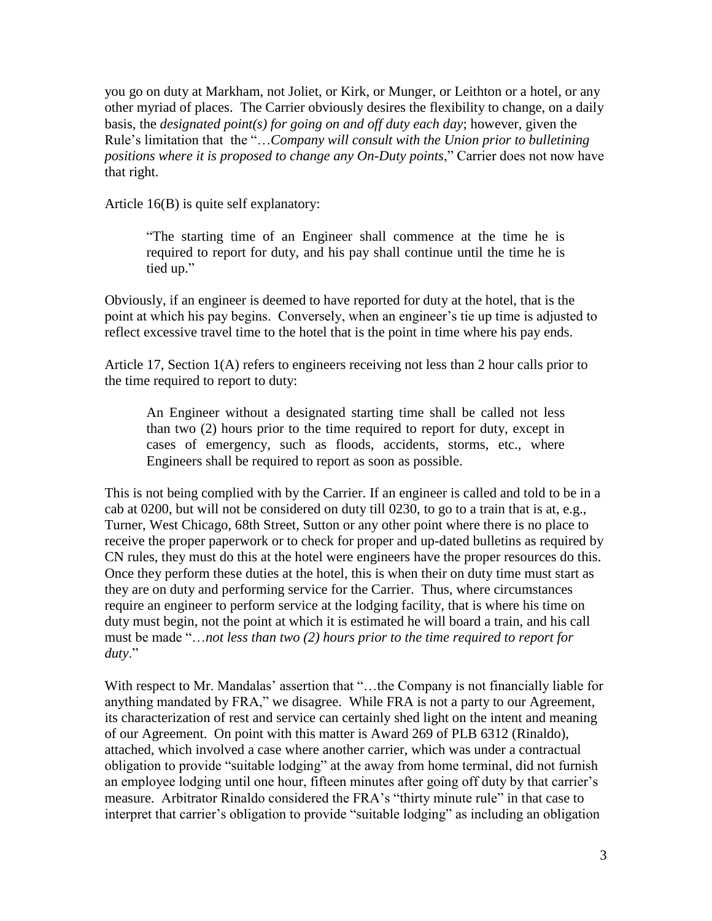you go on duty at Markham, not Joliet, or Kirk, or Munger, or Leithton or a hotel, or any other myriad of places. The Carrier obviously desires the flexibility to change, on a daily basis, the *designated point(s) for going on and off duty each day*; however, given the Rule's limitation that the "…*Company will consult with the Union prior to bulletining positions where it is proposed to change any On-Duty points*," Carrier does not now have that right.

Article 16(B) is quite self explanatory:

"The starting time of an Engineer shall commence at the time he is required to report for duty, and his pay shall continue until the time he is tied up."

Obviously, if an engineer is deemed to have reported for duty at the hotel, that is the point at which his pay begins. Conversely, when an engineer's tie up time is adjusted to reflect excessive travel time to the hotel that is the point in time where his pay ends.

Article 17, Section 1(A) refers to engineers receiving not less than 2 hour calls prior to the time required to report to duty:

An Engineer without a designated starting time shall be called not less than two (2) hours prior to the time required to report for duty, except in cases of emergency, such as floods, accidents, storms, etc., where Engineers shall be required to report as soon as possible.

This is not being complied with by the Carrier. If an engineer is called and told to be in a cab at 0200, but will not be considered on duty till 0230, to go to a train that is at, e.g., Turner, West Chicago, 68th Street, Sutton or any other point where there is no place to receive the proper paperwork or to check for proper and up-dated bulletins as required by CN rules, they must do this at the hotel were engineers have the proper resources do this. Once they perform these duties at the hotel, this is when their on duty time must start as they are on duty and performing service for the Carrier. Thus, where circumstances require an engineer to perform service at the lodging facility, that is where his time on duty must begin, not the point at which it is estimated he will board a train, and his call must be made "…*not less than two (2) hours prior to the time required to report for duty*."

With respect to Mr. Mandalas' assertion that "...the Company is not financially liable for anything mandated by FRA," we disagree. While FRA is not a party to our Agreement, its characterization of rest and service can certainly shed light on the intent and meaning of our Agreement. On point with this matter is Award 269 of PLB 6312 (Rinaldo), attached, which involved a case where another carrier, which was under a contractual obligation to provide "suitable lodging" at the away from home terminal, did not furnish an employee lodging until one hour, fifteen minutes after going off duty by that carrier's measure. Arbitrator Rinaldo considered the FRA's "thirty minute rule" in that case to interpret that carrier's obligation to provide "suitable lodging" as including an obligation